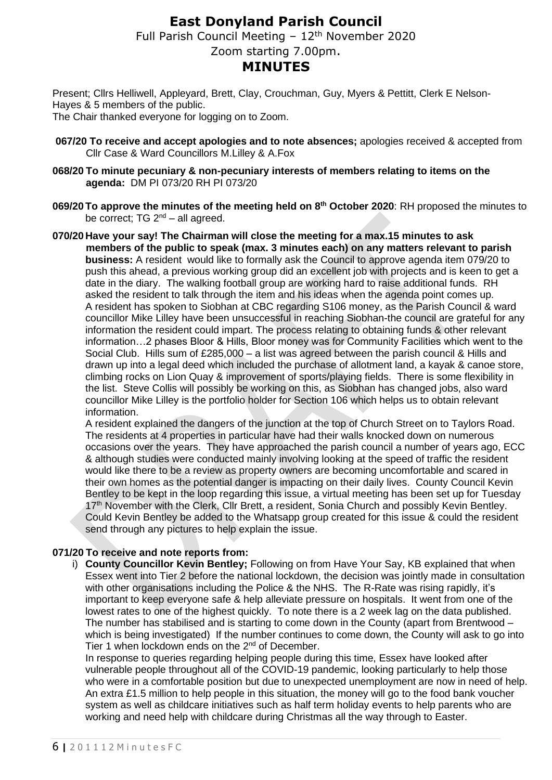## **East Donyland Parish Council**

Full Parish Council Meeting  $-12<sup>th</sup>$  November 2020

Zoom starting 7.00pm.

### **MINUTES**

Present; Cllrs Helliwell, Appleyard, Brett, Clay, Crouchman, Guy, Myers & Pettitt, Clerk E Nelson-Hayes & 5 members of the public.

The Chair thanked everyone for logging on to Zoom.

- **067/20 To receive and accept apologies and to note absences;** apologies received & accepted from Cllr Case & Ward Councillors M.Lilley & A.Fox
- **068/20 To minute pecuniary & non-pecuniary interests of members relating to items on the agenda:** DM PI 073/20 RH PI 073/20
- **069/20To approve the minutes of the meeting held on 8 th October 2020**: RH proposed the minutes to be correct; TG  $2^{nd}$  – all agreed.

**070/20 Have your say! The Chairman will close the meeting for a max.15 minutes to ask members of the public to speak (max. 3 minutes each) on any matters relevant to parish business:** A resident would like to formally ask the Council to approve agenda item 079/20 to push this ahead, a previous working group did an excellent job with projects and is keen to get a date in the diary. The walking football group are working hard to raise additional funds. RH asked the resident to talk through the item and his ideas when the agenda point comes up. A resident has spoken to Siobhan at CBC regarding S106 money, as the Parish Council & ward councillor Mike Lilley have been unsuccessful in reaching Siobhan-the council are grateful for any information the resident could impart. The process relating to obtaining funds & other relevant information…2 phases Bloor & Hills, Bloor money was for Community Facilities which went to the Social Club. Hills sum of £285,000 – a list was agreed between the parish council & Hills and drawn up into a legal deed which included the purchase of allotment land, a kayak & canoe store, climbing rocks on Lion Quay & improvement of sports/playing fields. There is some flexibility in the list. Steve Collis will possibly be working on this, as Siobhan has changed jobs, also ward councillor Mike Lilley is the portfolio holder for Section 106 which helps us to obtain relevant information.

A resident explained the dangers of the junction at the top of Church Street on to Taylors Road. The residents at 4 properties in particular have had their walls knocked down on numerous occasions over the years. They have approached the parish council a number of years ago, ECC & although studies were conducted mainly involving looking at the speed of traffic the resident would like there to be a review as property owners are becoming uncomfortable and scared in their own homes as the potential danger is impacting on their daily lives. County Council Kevin Bentley to be kept in the loop regarding this issue, a virtual meeting has been set up for Tuesday 17<sup>th</sup> November with the Clerk, Cllr Brett, a resident, Sonia Church and possibly Kevin Bentley. Could Kevin Bentley be added to the Whatsapp group created for this issue & could the resident send through any pictures to help explain the issue.

#### **071/20 To receive and note reports from:**

i) **County Councillor Kevin Bentley;** Following on from Have Your Say, KB explained that when Essex went into Tier 2 before the national lockdown, the decision was jointly made in consultation with other organisations including the Police & the NHS. The R-Rate was rising rapidly, it's important to keep everyone safe & help alleviate pressure on hospitals. It went from one of the lowest rates to one of the highest quickly. To note there is a 2 week lag on the data published. The number has stabilised and is starting to come down in the County (apart from Brentwood – which is being investigated) If the number continues to come down, the County will ask to go into Tier 1 when lockdown ends on the 2<sup>nd</sup> of December.

In response to queries regarding helping people during this time, Essex have looked after vulnerable people throughout all of the COVID-19 pandemic, looking particularly to help those who were in a comfortable position but due to unexpected unemployment are now in need of help. An extra £1.5 million to help people in this situation, the money will go to the food bank voucher system as well as childcare initiatives such as half term holiday events to help parents who are working and need help with childcare during Christmas all the way through to Easter.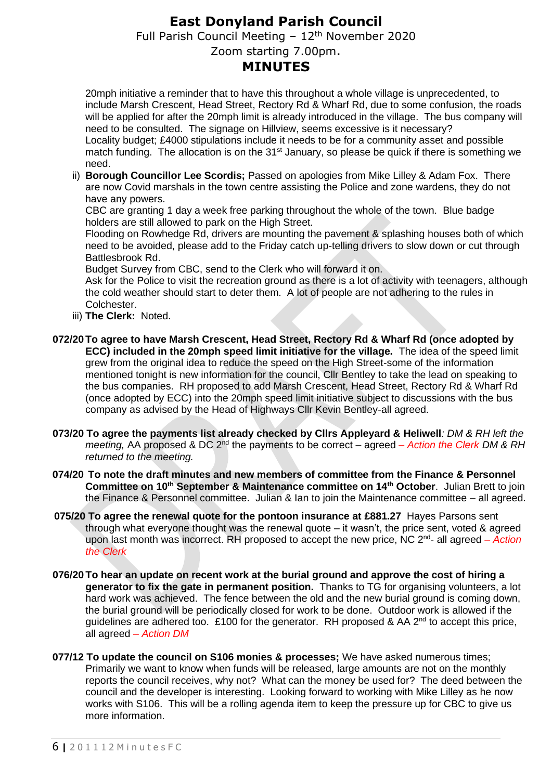# **East Donyland Parish Council**

Full Parish Council Meeting  $-12<sup>th</sup>$  November 2020

Zoom starting 7.00pm.

## **MINUTES**

20mph initiative a reminder that to have this throughout a whole village is unprecedented, to include Marsh Crescent, Head Street, Rectory Rd & Wharf Rd, due to some confusion, the roads will be applied for after the 20mph limit is already introduced in the village. The bus company will need to be consulted. The signage on Hillview, seems excessive is it necessary?

Locality budget; £4000 stipulations include it needs to be for a community asset and possible match funding. The allocation is on the 31<sup>st</sup> January, so please be quick if there is something we need.

ii) **Borough Councillor Lee Scordis;** Passed on apologies from Mike Lilley & Adam Fox. There are now Covid marshals in the town centre assisting the Police and zone wardens, they do not have any powers.

CBC are granting 1 day a week free parking throughout the whole of the town. Blue badge holders are still allowed to park on the High Street.

Flooding on Rowhedge Rd, drivers are mounting the pavement & splashing houses both of which need to be avoided, please add to the Friday catch up-telling drivers to slow down or cut through Battlesbrook Rd.

Budget Survey from CBC, send to the Clerk who will forward it on.

Ask for the Police to visit the recreation ground as there is a lot of activity with teenagers, although the cold weather should start to deter them. A lot of people are not adhering to the rules in Colchester.

- iii) **The Clerk:** Noted.
- **072/20To agree to have Marsh Crescent, Head Street, Rectory Rd & Wharf Rd (once adopted by ECC) included in the 20mph speed limit initiative for the village.** The idea of the speed limit grew from the original idea to reduce the speed on the High Street-some of the information mentioned tonight is new information for the council, Cllr Bentley to take the lead on speaking to the bus companies. RH proposed to add Marsh Crescent, Head Street, Rectory Rd & Wharf Rd (once adopted by ECC) into the 20mph speed limit initiative subject to discussions with the bus company as advised by the Head of Highways Cllr Kevin Bentley-all agreed.
- **073/20 To agree the payments list already checked by Cllrs Appleyard & Heliwell***: DM & RH left the meeting,* AA proposed & DC 2<sup>nd</sup> the payments to be correct – agreed – Action the Clerk DM & RH *returned to the meeting.*
- **074/20 To note the draft minutes and new members of committee from the Finance & Personnel Committee on 10th September & Maintenance committee on 14th October**. Julian Brett to join the Finance & Personnel committee. Julian & Ian to join the Maintenance committee – all agreed.
- **075/20 To agree the renewal quote for the pontoon insurance at £881.27** Hayes Parsons sent through what everyone thought was the renewal quote – it wasn't, the price sent, voted & agreed upon last month was incorrect. RH proposed to accept the new price, NC 2<sup>nd</sup>- all agreed – Action *the Clerk*
- **076/20 To hear an update on recent work at the burial ground and approve the cost of hiring a generator to fix the gate in permanent position.** Thanks to TG for organising volunteers, a lot hard work was achieved. The fence between the old and the new burial ground is coming down, the burial ground will be periodically closed for work to be done. Outdoor work is allowed if the guidelines are adhered too. £100 for the generator. RH proposed & AA  $2^{nd}$  to accept this price, all agreed *– Action DM*
- **077/12 To update the council on S106 monies & processes;** We have asked numerous times; Primarily we want to know when funds will be released, large amounts are not on the monthly reports the council receives, why not? What can the money be used for? The deed between the council and the developer is interesting. Looking forward to working with Mike Lilley as he now works with S106. This will be a rolling agenda item to keep the pressure up for CBC to give us more information.